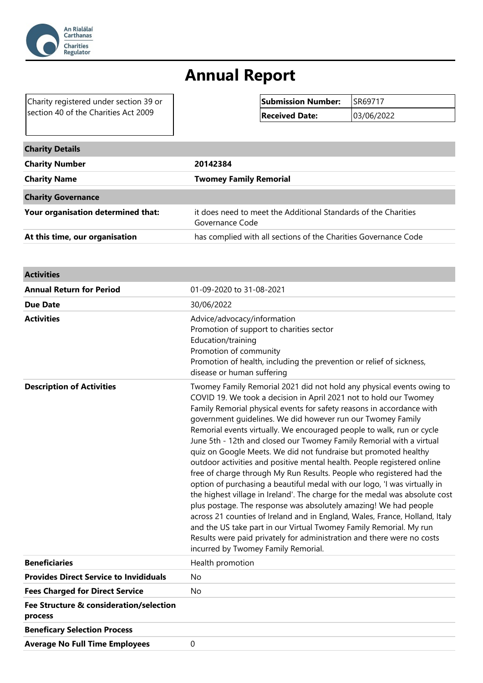

## **Annual Report**

Charity registered under section 39 or section 40 of the Charities Act 2009

| Submission Number: SR69717 |            |
|----------------------------|------------|
| <b>Received Date:</b>      | 03/06/2022 |

| <b>Charity Details</b>             |                                                                                   |
|------------------------------------|-----------------------------------------------------------------------------------|
| <b>Charity Number</b>              | 20142384                                                                          |
| <b>Charity Name</b>                | <b>Twomey Family Remorial</b>                                                     |
| <b>Charity Governance</b>          |                                                                                   |
| Your organisation determined that: | it does need to meet the Additional Standards of the Charities<br>Governance Code |
| At this time, our organisation     | has complied with all sections of the Charities Governance Code                   |

| <b>Activities</b>                                  |                                                                                                                                                                                                                                                                                                                                                                                                                                                                                                                                                                                                                                                                                                                                                                                                                                                                                                                                                                                                                                                                                                                                                                 |
|----------------------------------------------------|-----------------------------------------------------------------------------------------------------------------------------------------------------------------------------------------------------------------------------------------------------------------------------------------------------------------------------------------------------------------------------------------------------------------------------------------------------------------------------------------------------------------------------------------------------------------------------------------------------------------------------------------------------------------------------------------------------------------------------------------------------------------------------------------------------------------------------------------------------------------------------------------------------------------------------------------------------------------------------------------------------------------------------------------------------------------------------------------------------------------------------------------------------------------|
| <b>Annual Return for Period</b>                    | 01-09-2020 to 31-08-2021                                                                                                                                                                                                                                                                                                                                                                                                                                                                                                                                                                                                                                                                                                                                                                                                                                                                                                                                                                                                                                                                                                                                        |
| <b>Due Date</b>                                    | 30/06/2022                                                                                                                                                                                                                                                                                                                                                                                                                                                                                                                                                                                                                                                                                                                                                                                                                                                                                                                                                                                                                                                                                                                                                      |
| <b>Activities</b>                                  | Advice/advocacy/information<br>Promotion of support to charities sector<br>Education/training<br>Promotion of community<br>Promotion of health, including the prevention or relief of sickness,<br>disease or human suffering                                                                                                                                                                                                                                                                                                                                                                                                                                                                                                                                                                                                                                                                                                                                                                                                                                                                                                                                   |
| <b>Description of Activities</b>                   | Twomey Family Remorial 2021 did not hold any physical events owing to<br>COVID 19. We took a decision in April 2021 not to hold our Twomey<br>Family Remorial physical events for safety reasons in accordance with<br>government guidelines. We did however run our Twomey Family<br>Remorial events virtually. We encouraged people to walk, run or cycle<br>June 5th - 12th and closed our Twomey Family Remorial with a virtual<br>quiz on Google Meets. We did not fundraise but promoted healthy<br>outdoor activities and positive mental health. People registered online<br>free of charge through My Run Results. People who registered had the<br>option of purchasing a beautiful medal with our logo, 'I was virtually in<br>the highest village in Ireland'. The charge for the medal was absolute cost<br>plus postage. The response was absolutely amazing! We had people<br>across 21 counties of Ireland and in England, Wales, France, Holland, Italy<br>and the US take part in our Virtual Twomey Family Remorial. My run<br>Results were paid privately for administration and there were no costs<br>incurred by Twomey Family Remorial. |
| <b>Beneficiaries</b>                               | Health promotion                                                                                                                                                                                                                                                                                                                                                                                                                                                                                                                                                                                                                                                                                                                                                                                                                                                                                                                                                                                                                                                                                                                                                |
| <b>Provides Direct Service to Invididuals</b>      | <b>No</b>                                                                                                                                                                                                                                                                                                                                                                                                                                                                                                                                                                                                                                                                                                                                                                                                                                                                                                                                                                                                                                                                                                                                                       |
| <b>Fees Charged for Direct Service</b>             | <b>No</b>                                                                                                                                                                                                                                                                                                                                                                                                                                                                                                                                                                                                                                                                                                                                                                                                                                                                                                                                                                                                                                                                                                                                                       |
| Fee Structure & consideration/selection<br>process |                                                                                                                                                                                                                                                                                                                                                                                                                                                                                                                                                                                                                                                                                                                                                                                                                                                                                                                                                                                                                                                                                                                                                                 |
| <b>Beneficary Selection Process</b>                |                                                                                                                                                                                                                                                                                                                                                                                                                                                                                                                                                                                                                                                                                                                                                                                                                                                                                                                                                                                                                                                                                                                                                                 |
| <b>Average No Full Time Employees</b>              | 0                                                                                                                                                                                                                                                                                                                                                                                                                                                                                                                                                                                                                                                                                                                                                                                                                                                                                                                                                                                                                                                                                                                                                               |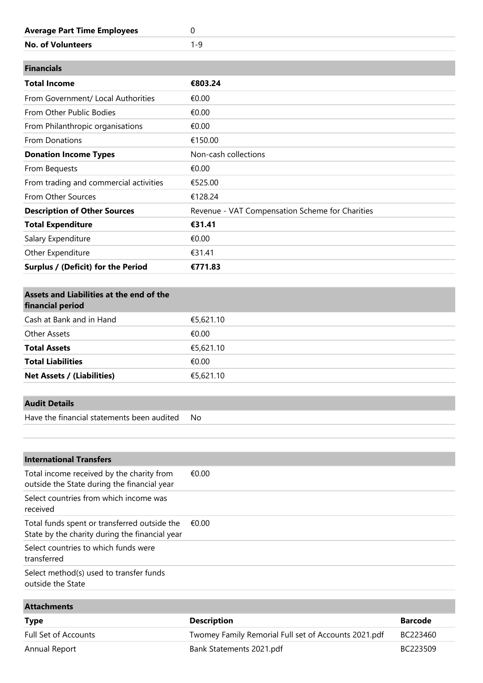| <b>Average Part Time Employees</b>     | 0                                               |  |
|----------------------------------------|-------------------------------------------------|--|
| <b>No. of Volunteers</b>               | $1 - 9$                                         |  |
|                                        |                                                 |  |
| <b>Financials</b>                      |                                                 |  |
| <b>Total Income</b>                    | €803.24                                         |  |
| From Government/ Local Authorities     | €0.00                                           |  |
| From Other Public Bodies               | €0.00                                           |  |
| From Philanthropic organisations       | €0.00                                           |  |
| From Donations                         | €150.00                                         |  |
| <b>Donation Income Types</b>           | Non-cash collections                            |  |
|                                        |                                                 |  |
| From Bequests                          | €0.00                                           |  |
| From trading and commercial activities | €525.00                                         |  |
| From Other Sources                     | €128.24                                         |  |
| <b>Description of Other Sources</b>    | Revenue - VAT Compensation Scheme for Charities |  |
| <b>Total Expenditure</b>               | €31.41                                          |  |
| Salary Expenditure                     | €0.00                                           |  |
| Other Expenditure                      | €31.41                                          |  |

| Assets and Liabilities at the end of the<br>financial period |           |
|--------------------------------------------------------------|-----------|
| Cash at Bank and in Hand                                     | €5,621.10 |
| <b>Other Assets</b>                                          | €0.00     |
| <b>Total Assets</b>                                          | €5,621.10 |
| <b>Total Liabilities</b>                                     | €0.00     |
| <b>Net Assets / (Liabilities)</b>                            | €5,621.10 |

## **Audit Details**

Have the financial statements been audited No

| <b>International Transfers</b>                                                                 |       |
|------------------------------------------------------------------------------------------------|-------|
| Total income received by the charity from<br>outside the State during the financial year       | €0.00 |
| Select countries from which income was<br>received                                             |       |
| Total funds spent or transferred outside the<br>State by the charity during the financial year | €0.00 |
| Select countries to which funds were<br>transferred                                            |       |
| Select method(s) used to transfer funds<br>outside the State                                   |       |

| <b>Attachments</b>   |                                                      |          |
|----------------------|------------------------------------------------------|----------|
| <b>Type</b>          | <b>Description</b>                                   | Barcode  |
| Full Set of Accounts | Twomey Family Remorial Full set of Accounts 2021.pdf | BC223460 |
| Annual Report        | Bank Statements 2021.pdf                             | BC223509 |